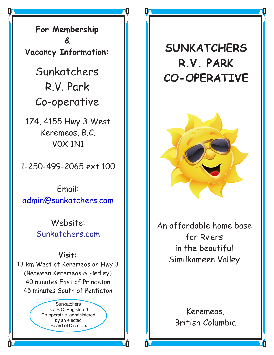**For Membership & Vacancy Information:**

> Sunkatchers R.V. Park Co-operative

174, 4155 Hwy 3 West Keremeos, B.C. V0X 1N1

1-250-499-2065 ext 100

Email: [admin@sunkatchers.com](mailto:info@sunkatchers.com)

> Website: Sunkatchers.com

## **Visit:**

13 km West of Keremeos on Hwy 3 (Between Keremeos & Hedley) 40 minutes East of Princeton 45 minutes South of Penticton

> **Sunkatchers** is a B.C. Registered Co-operative, administered by an elected Board of Directors

## **SUNKATCHERS R.V. PARK CO-OPERATIVE**



An affordable home base for Rv'ers in the beautiful Similkameen Valley

> Keremeos, British Columbia